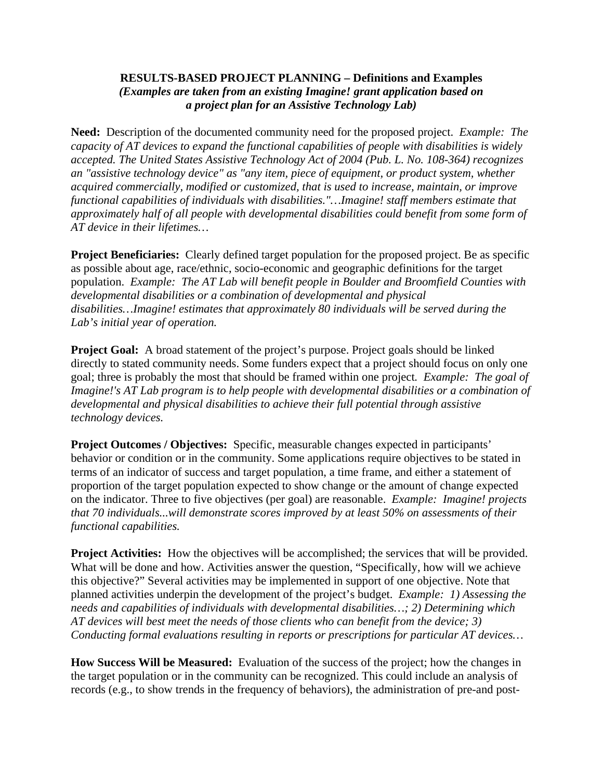## **RESULTS-BASED PROJECT PLANNING – Definitions and Examples**  *(Examples are taken from an existing Imagine! grant application based on a project plan for an Assistive Technology Lab)*

**Need:** Description of the documented community need for the proposed project. *Example: The capacity of AT devices to expand the functional capabilities of people with disabilities is widely accepted. The United States Assistive Technology Act of 2004 (Pub. L. No. 108-364) recognizes an "assistive technology device" as "any item, piece of equipment, or product system, whether acquired commercially, modified or customized, that is used to increase, maintain, or improve functional capabilities of individuals with disabilities."…Imagine! staff members estimate that approximately half of all people with developmental disabilities could benefit from some form of AT device in their lifetimes…* 

**Project Beneficiaries:** Clearly defined target population for the proposed project. Be as specific as possible about age, race/ethnic, socio-economic and geographic definitions for the target population. *Example: The AT Lab will benefit people in Boulder and Broomfield Counties with developmental disabilities or a combination of developmental and physical disabilities…Imagine! estimates that approximately 80 individuals will be served during the Lab's initial year of operation.* 

**Project Goal:** A broad statement of the project's purpose. Project goals should be linked directly to stated community needs. Some funders expect that a project should focus on only one goal; three is probably the most that should be framed within one project*. Example: The goal of Imagine!'s AT Lab program is to help people with developmental disabilities or a combination of developmental and physical disabilities to achieve their full potential through assistive technology devices.* 

**Project Outcomes / Objectives:** Specific, measurable changes expected in participants' behavior or condition or in the community. Some applications require objectives to be stated in terms of an indicator of success and target population, a time frame, and either a statement of proportion of the target population expected to show change or the amount of change expected on the indicator. Three to five objectives (per goal) are reasonable. *Example: Imagine! projects that 70 individuals...will demonstrate scores improved by at least 50% on assessments of their functional capabilities.* 

**Project Activities:** How the objectives will be accomplished; the services that will be provided. What will be done and how. Activities answer the question, "Specifically, how will we achieve this objective?" Several activities may be implemented in support of one objective. Note that planned activities underpin the development of the project's budget. *Example: 1) Assessing the needs and capabilities of individuals with developmental disabilities…; 2) Determining which AT devices will best meet the needs of those clients who can benefit from the device; 3) Conducting formal evaluations resulting in reports or prescriptions for particular AT devices…* 

**How Success Will be Measured:** Evaluation of the success of the project; how the changes in the target population or in the community can be recognized. This could include an analysis of records (e.g., to show trends in the frequency of behaviors), the administration of pre-and post-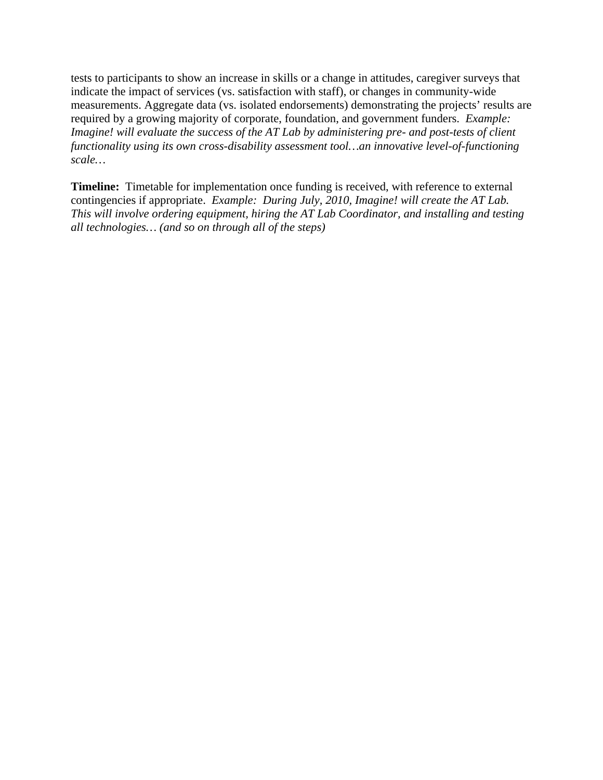tests to participants to show an increase in skills or a change in attitudes, caregiver surveys that indicate the impact of services (vs. satisfaction with staff), or changes in community-wide measurements. Aggregate data (vs. isolated endorsements) demonstrating the projects' results are required by a growing majority of corporate, foundation, and government funders. *Example: Imagine! will evaluate the success of the AT Lab by administering pre- and post-tests of client functionality using its own cross-disability assessment tool…an innovative level-of-functioning scale…* 

**Timeline:** Timetable for implementation once funding is received, with reference to external contingencies if appropriate. *Example: During July, 2010, Imagine! will create the AT Lab. This will involve ordering equipment, hiring the AT Lab Coordinator, and installing and testing all technologies… (and so on through all of the steps)*